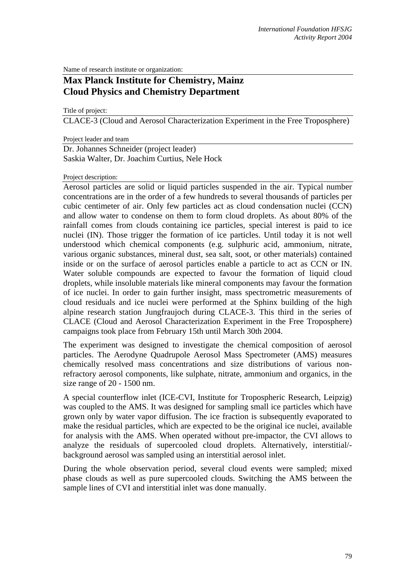Name of research institute or organization:

## **Max Planck Institute for Chemistry, Mainz Cloud Physics and Chemistry Department**

Title of project:

CLACE-3 (Cloud and Aerosol Characterization Experiment in the Free Troposphere)

Project leader and team

Dr. Johannes Schneider (project leader) Saskia Walter, Dr. Joachim Curtius, Nele Hock

## Project description:

Aerosol particles are solid or liquid particles suspended in the air. Typical number concentrations are in the order of a few hundreds to several thousands of particles per cubic centimeter of air. Only few particles act as cloud condensation nuclei (CCN) and allow water to condense on them to form cloud droplets. As about 80% of the rainfall comes from clouds containing ice particles, special interest is paid to ice nuclei (IN). Those trigger the formation of ice particles. Until today it is not well understood which chemical components (e.g. sulphuric acid, ammonium, nitrate, various organic substances, mineral dust, sea salt, soot, or other materials) contained inside or on the surface of aerosol particles enable a particle to act as CCN or IN. Water soluble compounds are expected to favour the formation of liquid cloud droplets, while insoluble materials like mineral components may favour the formation of ice nuclei. In order to gain further insight, mass spectrometric measurements of cloud residuals and ice nuclei were performed at the Sphinx building of the high alpine research station Jungfraujoch during CLACE-3. This third in the series of CLACE (Cloud and Aerosol Characterization Experiment in the Free Troposphere) campaigns took place from February 15th until March 30th 2004.

The experiment was designed to investigate the chemical composition of aerosol particles. The Aerodyne Quadrupole Aerosol Mass Spectrometer (AMS) measures chemically resolved mass concentrations and size distributions of various nonrefractory aerosol components, like sulphate, nitrate, ammonium and organics, in the size range of 20 - 1500 nm.

A special counterflow inlet (ICE-CVI, Institute for Tropospheric Research, Leipzig) was coupled to the AMS. It was designed for sampling small ice particles which have grown only by water vapor diffusion. The ice fraction is subsequently evaporated to make the residual particles, which are expected to be the original ice nuclei, available for analysis with the AMS. When operated without pre-impactor, the CVI allows to analyze the residuals of supercooled cloud droplets. Alternatively, interstitial/ background aerosol was sampled using an interstitial aerosol inlet.

During the whole observation period, several cloud events were sampled; mixed phase clouds as well as pure supercooled clouds. Switching the AMS between the sample lines of CVI and interstitial inlet was done manually.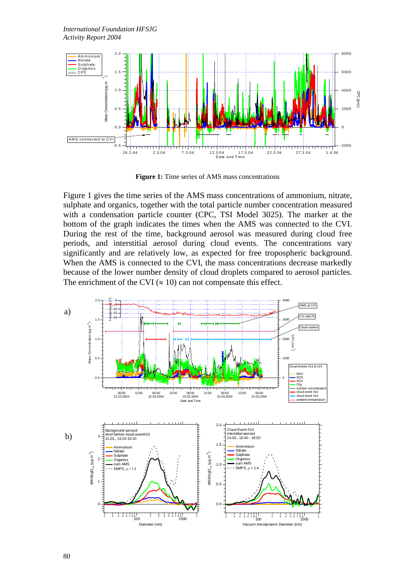

Figure 1: Time series of AMS mass concentrations

Figure 1 gives the time series of the AMS mass concentrations of ammonium, nitrate, sulphate and organics, together with the total particle number concentration measured with a condensation particle counter (CPC, TSI Model 3025). The marker at the bottom of the graph indicates the times when the AMS was connected to the CVI. During the rest of the time, background aerosol was measured during cloud free periods, and interstitial aerosol during cloud events. The concentrations vary significantly and are relatively low, as expected for free tropospheric background. When the AMS is connected to the CVI, the mass concentrations decrease markedly because of the lower number density of cloud droplets compared to aerosol particles. The enrichment of the CVI ( $\approx$  10) can not compensate this effect.

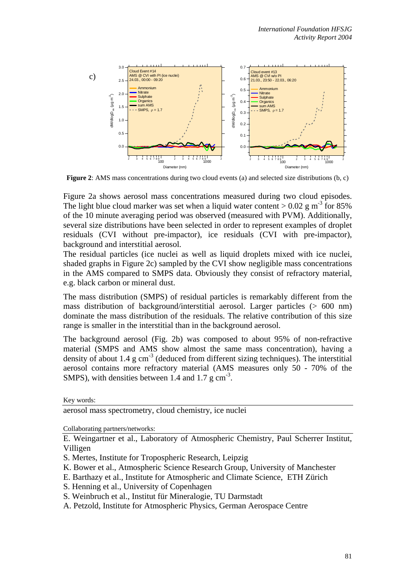

**Figure 2**: AMS mass concentrations during two cloud events (a) and selected size distributions (b, c)

Figure 2a shows aerosol mass concentrations measured during two cloud episodes. The light blue cloud marker was set when a liquid water content  $> 0.02$  g m<sup>-3</sup> for 85% of the 10 minute averaging period was observed (measured with PVM). Additionally, several size distributions have been selected in order to represent examples of droplet residuals (CVI without pre-impactor), ice residuals (CVI with pre-impactor), background and interstitial aerosol.

The residual particles (ice nuclei as well as liquid droplets mixed with ice nuclei, shaded graphs in Figure 2c) sampled by the CVI show negligible mass concentrations in the AMS compared to SMPS data. Obviously they consist of refractory material, e.g. black carbon or mineral dust.

The mass distribution (SMPS) of residual particles is remarkably different from the mass distribution of background/interstitial aerosol. Larger particles (> 600 nm) dominate the mass distribution of the residuals. The relative contribution of this size range is smaller in the interstitial than in the background aerosol.

The background aerosol (Fig. 2b) was composed to about 95% of non-refractive material (SMPS and AMS show almost the same mass concentration), having a density of about 1.4 g  $cm^{-3}$  (deduced from different sizing techniques). The interstitial aerosol contains more refractory material (AMS measures only 50 - 70% of the SMPS), with densities between 1.4 and 1.7 g cm<sup>-3</sup>.

Key words:

aerosol mass spectrometry, cloud chemistry, ice nuclei

Collaborating partners/networks:

E. Weingartner et al., Laboratory of Atmospheric Chemistry, Paul Scherrer Institut, Villigen

- S. Mertes, Institute for Tropospheric Research, Leipzig
- K. Bower et al., Atmospheric Science Research Group, University of Manchester
- E. Barthazy et al., Institute for Atmospheric and Climate Science, ETH Zürich
- S. Henning et al., University of Copenhagen
- S. Weinbruch et al., Institut für Mineralogie, TU Darmstadt
- A. Petzold, Institute for Atmospheric Physics, German Aerospace Centre